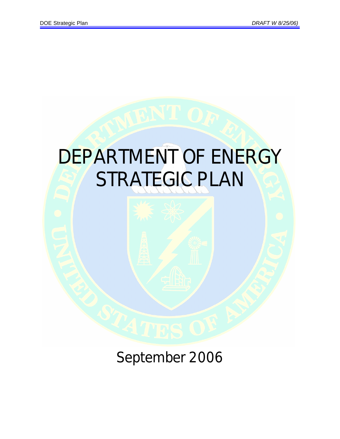

September 2006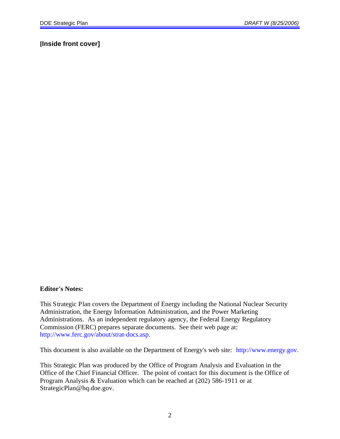## **[Inside front cover]**

#### **Editor's Notes:**

This Strategic Plan covers the Department of Energy including the National Nuclear Security Administration, the Energy Information Administration, and the Power Marketing Administrations. As an independent regulatory agency, the Federal Energy Regulatory Commission (FERC) prepares separate documents. See their web page at: http://www.ferc.gov/about/strat-docs.asp.

This document is also available on the Department of Energy's web site: http://www.energy.gov.

This Strategic Plan was produced by the Office of Program Analysis and Evaluation in the Office of the Chief Financial Officer. The point of contact for this document is the Office of Program Analysis & Evaluation which can be reached at (202) 586-1911 or at StrategicPlan@hq.doe.gov.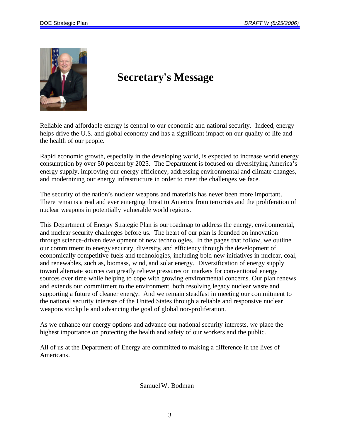

# **Secretary's Message**

Reliable and affordable energy is central to our economic and national security. Indeed, energy helps drive the U.S. and global economy and has a significant impact on our quality of life and the health of our people.

Rapid economic growth, especially in the developing world, is expected to increase world energy consumption by over 50 percent by 2025. The Department is focused on diversifying America's energy supply, improving our energy efficiency, addressing environmental and climate changes, and modernizing our energy infrastructure in order to meet the challenges we face.

The security of the nation's nuclear weapons and materials has never been more important. There remains a real and ever emerging threat to America from terrorists and the proliferation of nuclear weapons in potentially vulnerable world regions.

This Department of Energy Strategic Plan is our roadmap to address the energy, environmental, and nuclear security challenges before us. The heart of our plan is founded on innovation through science-driven development of new technologies. In the pages that follow, we outline our commitment to energy security, diversity, and efficiency through the development of economically competitive fuels and technologies, including bold new initiatives in nuclear, coal, and renewables, such as, biomass, wind, and solar energy. Diversification of energy supply toward alternate sources can greatly relieve pressures on markets for conventional energy sources over time while helping to cope with growing environmental concerns. Our plan renews and extends our commitment to the environment, both resolving legacy nuclear waste and supporting a future of cleaner energy. And we remain steadfast in meeting our commitment to the national security interests of the United States through a reliable and responsive nuclear weapons stockpile and advancing the goal of global non-proliferation.

As we enhance our energy options and advance our national security interests, we place the highest importance on protecting the health and safety of our workers and the public.

All of us at the Department of Energy are committed to making a difference in the lives of Americans.

Samuel W. Bodman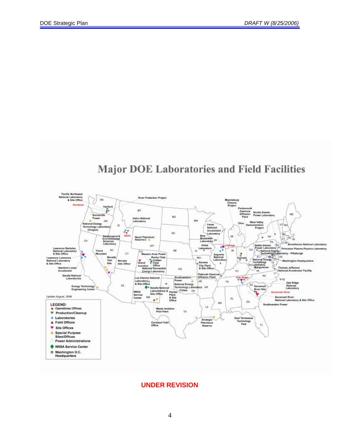## **Major DOE Laboratories and Field Facilities**



#### **UNDER REVISION**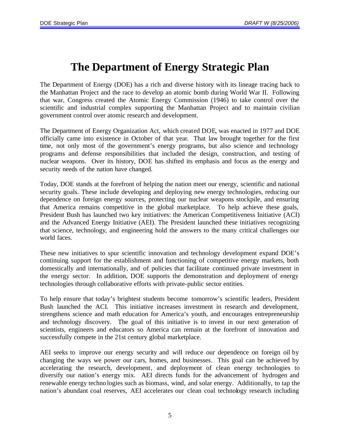# **The Department of Energy Strategic Plan**

The Department of Energy (DOE) has a rich and diverse history with its lineage tracing back to the Manhattan Project and the race to develop an atomic bomb during World War II. Following that war, Congress created the Atomic Energy Commission (1946) to take control over the scientific and industrial complex supporting the Manhattan Project and to maintain civilian government control over atomic research and development.

The Department of Energy Organization Act, which created DOE, was enacted in 1977 and DOE officially came into existence in October of that year. That law brought together for the first time, not only most of the government's energy programs, but also science and technology programs and defense responsibilities that included the design, construction, and testing of nuclear weapons. Over its history, DOE has shifted its emphasis and focus as the energy and security needs of the nation have changed.

Today, DOE stands at the forefront of helping the nation meet our energy, scientific and national security goals. These include developing and deploying new energy technologies, reducing our dependence on foreign energy sources, protecting our nuclear weapons stockpile, and ensuring that America remains competitive in the global marketplace. To help achieve these goals, President Bush has launched two key initiatives: the American Competitiveness Initiative (ACI) and the Advanced Energy Initiative (AEI). The President launched these initiatives recognizing that science, technology, and engineering hold the answers to the many critical challenges our world faces.

These new initiatives to spur scientific innovation and technology development expand DOE's continuing support for the establishment and functioning of competitive energy markets, both domestically and internationally, and of policies that facilitate continued private investment in the energy sector. In addition, DOE supports the demonstration and deployment of energy technologies through collaborative efforts with private-public sector entities.

To help ensure that today's brightest students become tomorrow's scientific leaders, President Bush launched the ACI. This initiative increases investment in research and development, strengthens science and math education for America's youth, and encourages entrepreneurship and technology discovery. The goal of this initiative is to invest in our next generation of scientists, engineers and educators so America can remain at the forefront of innovation and successfully compete in the 21st century global marketplace.

AEI seeks to improve our energy security and will reduce our dependence on foreign oil by changing the ways we power our cars, homes, and businesses. This goal can be achieved by accelerating the research, development, and deployment of clean energy technologies to diversify our nation's energy mix. AEI directs funds for the advancement of hydrogen and renewable energy technologies such as biomass, wind, and solar energy. Additionally, to tap the nation's abundant coal reserves, AEI accelerates our clean coal technology research including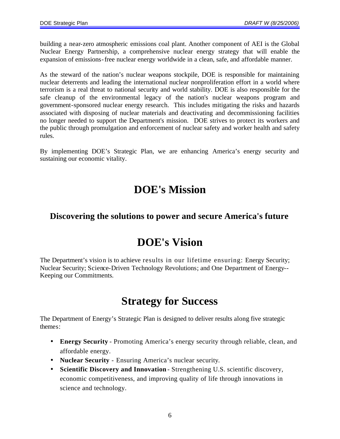building a near-zero atmospheric emissions coal plant. Another component of AEI is the Global Nuclear Energy Partnership, a comprehensive nuclear energy strategy that will enable the expansion of emissions-free nuclear energy worldwide in a clean, safe, and affordable manner.

As the steward of the nation's nuclear weapons stockpile, DOE is responsible for maintaining nuclear deterrents and leading the international nuclear nonproliferation effort in a world where terrorism is a real threat to national security and world stability. DOE is also responsible for the safe cleanup of the environmental legacy of the nation's nuclear weapons program and government-sponsored nuclear energy research. This includes mitigating the risks and hazards associated with disposing of nuclear materials and deactivating and decommissioning facilities no longer needed to support the Department's mission. DOE strives to protect its workers and the public through promulgation and enforcement of nuclear safety and worker health and safety rules.

By implementing DOE's Strategic Plan, we are enhancing America's energy security and sustaining our economic vitality.

# **DOE's Mission**

## **Discovering the solutions to power and secure America's future**

# **DOE's Vision**

The Department's vision is to achieve results in our lifetime ensuring: Energy Security; Nuclear Security; Science-Driven Technology Revolutions; and One Department of Energy-- Keeping our Commitments.

# **Strategy for Success**

The Department of Energy's Strategic Plan is designed to deliver results along five strategic themes:

- **Energy Security** Promoting America's energy security through reliable, clean, and affordable energy.
- **Nuclear Security** Ensuring America's nuclear security.
- **Scientific Discovery and Innovation** Strengthening U.S. scientific discovery, economic competitiveness, and improving quality of life through innovations in science and technology.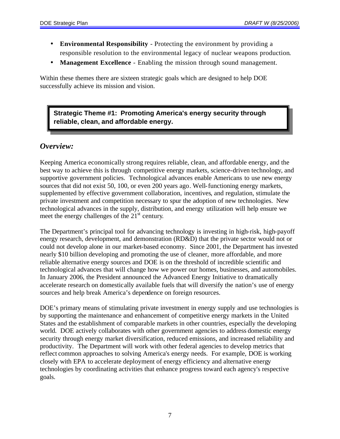- **Environmental Responsibility** Protecting the environment by providing a responsible resolution to the environmental legacy of nuclear weapons production.
- **Management Excellence** Enabling the mission through sound management.

Within these themes there are sixteen strategic goals which are designed to help DOE successfully achieve its mission and vision.

## **Strategic Theme #1: Promoting America's energy security through reliable, clean, and affordable energy.**

## *Overview:*

Keeping America economically strong requires reliable, clean, and affordable energy, and the best way to achieve this is through competitive energy markets, science-driven technology, and supportive government policies. Technological advances enable Americans to use new energy sources that did not exist 50, 100, or even 200 years ago. Well-functioning energy markets, supplemented by effective government collaboration, incentives, and regulation, stimulate the private investment and competition necessary to spur the adoption of new technologies. New technological advances in the supply, distribution, and energy utilization will help ensure we meet the energy challenges of the  $21<sup>st</sup>$  century.

The Department's principal tool for advancing technology is investing in high-risk, high-payoff energy research, development, and demonstration (RD&D) that the private sector would not or could not develop alone in our market-based economy. Since 2001, the Department has invested nearly \$10 billion developing and promoting the use of cleaner, more affordable, and more reliable alternative energy sources and DOE is on the threshold of incredible scientific and technological advances that will change how we power our homes, businesses, and automobiles. In January 2006, the President announced the Advanced Energy Initiative to dramatically accelerate research on domestically available fuels that will diversify the nation's use of energy sources and help break America's dependence on foreign resources.

DOE's primary means of stimulating private investment in energy supply and use technologies is by supporting the maintenance and enhancement of competitive energy markets in the United States and the establishment of comparable markets in other countries, especially the developing world. DOE actively collaborates with other government agencies to address domestic energy security through energy market diversification, reduced emissions, and increased reliability and productivity. The Department will work with other federal agencies to develop metrics that reflect common approaches to solving America's energy needs. For example, DOE is working closely with EPA to accelerate deployment of energy efficiency and alternative energy technologies by coordinating activities that enhance progress toward each agency's respective goals.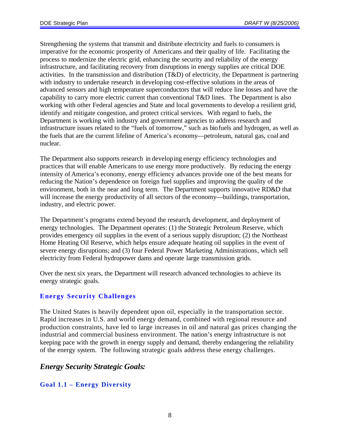Strengthening the systems that transmit and distribute electricity and fuels to consumers is imperative for the economic prosperity of Americans and their quality of life. Facilitating the process to modernize the electric grid, enhancing the security and reliability of the energy infrastructure, and facilitating recovery from disruptions in energy supplies are critical DOE activities. In the transmission and distribution (T&D) of electricity, the Department is partnering with industry to undertake research in developing cost-effective solutions in the areas of advanced sensors and high temperature superconductors that will reduce line losses and have the capability to carry more electric current than conventional T&D lines. The Department is also working with other Federal agencies and State and local governments to develop a resilient grid, identify and mitigate congestion, and protect critical services. With regard to fuels, the Department is working with industry and government agencies to address research and infrastructure issues related to the "fuels of tomorrow," such as biofuels and hydrogen, as well as the fuels that are the current lifeline of America's economy—petroleum, natural gas, coal and nuclear.

The Department also supports research in developing energy efficiency technologies and practices that will enable Americans to use energy more productively. By reducing the energy intensity of America's economy, energy efficiency advances provide one of the best means for reducing the Nation's dependence on foreign fuel supplies and improving the quality of the environment, both in the near and long term. The Department supports innovative RD&D that will increase the energy productivity of all sectors of the economy—buildings, transportation, industry, and electric power.

The Department's programs extend beyond the research, development, and deployment of energy technologies. The Department operates: (1) the Strategic Petroleum Reserve, which provides emergency oil supplies in the event of a serious supply disruption; (2) the Northeast Home Heating Oil Reserve, which helps ensure adequate heating oil supplies in the event of severe energy disruptions; and (3) four Federal Power Marketing Administrations, which sell electricity from Federal hydropower dams and operate large transmission grids.

Over the next six years, the Department will research advanced technologies to achieve its energy strategic goals.

## **Energy Security Challenges**

The United States is heavily dependent upon oil, especially in the transportation sector. Rapid increases in U.S. and world energy demand, combined with regional resource and production constraints, have led to large increases in oil and natural gas prices changing the industrial and commercial business environment. The nation's energy infrastructure is not keeping pace with the growth in energy supply and demand, thereby endangering the reliability of the energy system. The following strategic goals address these energy challenges.

## *Energy Security Strategic Goals:*

## **Goal 1.1 – Energy Diversity**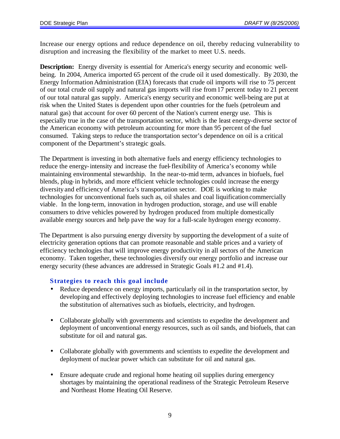Increase our energy options and reduce dependence on oil, thereby reducing vulnerability to disruption and increasing the flexibility of the market to meet U.S. needs.

**Description:** Energy diversity is essential for America's energy security and economic wellbeing. In 2004, America imported 65 percent of the crude oil it used domestically. By 2030, the Energy Information Administration (EIA) forecasts that crude oil imports will rise to 75 percent of our total crude oil supply and natural gas imports will rise from17 percent today to 21 percent of our total natural gas supply. America's energy security and economic well-being are put at risk when the United States is dependent upon other countries for the fuels (petroleum and natural gas) that account for over 60 percent of the Nation's current energy use. This is especially true in the case of the transportation sector, which is the least energy-diverse sector of the American economy with petroleum accounting for more than 95 percent of the fuel consumed. Taking steps to reduce the transportation sector's dependence on oil is a critical component of the Department's strategic goals.

The Department is investing in both alternative fuels and energy efficiency technologies to reduce the energy-intensity and increase the fuel-flexibility of America's economy while maintaining environmental stewardship. In the near-to-mid term, advances in biofuels, fuel blends, plug-in hybrids, and more efficient vehicle technologies could increase the energy diversity and efficiency of America's transportation sector. DOE is working to make technologies for unconventional fuels such as, oil shales and coal liquification commercially viable. In the long-term, innovation in hydrogen production, storage, and use will enable consumers to drive vehicles powered by hydrogen produced from multiple domestically available energy sources and help pave the way for a full-scale hydrogen energy economy.

The Department is also pursuing energy diversity by supporting the development of a suite of electricity generation options that can promote reasonable and stable prices and a variety of efficiency technologies that will improve energy productivity in all sectors of the American economy. Taken together, these technologies diversify our energy portfolio and increase our energy security (these advances are addressed in Strategic Goals #1.2 and #1.4).

- Reduce dependence on energy imports, particularly oil in the transportation sector, by developing and effectively deploying technologies to increase fuel efficiency and enable the substitution of alternatives such as biofuels, electricity, and hydrogen.
- Collaborate globally with governments and scientists to expedite the development and deployment of unconventional energy resources, such as oil sands, and biofuels, that can substitute for oil and natural gas.
- Collaborate globally with governments and scientists to expedite the development and deployment of nuclear power which can substitute for oil and natural gas.
- Ensure adequate crude and regional home heating oil supplies during emergency shortages by maintaining the operational readiness of the Strategic Petroleum Reserve and Northeast Home Heating Oil Reserve.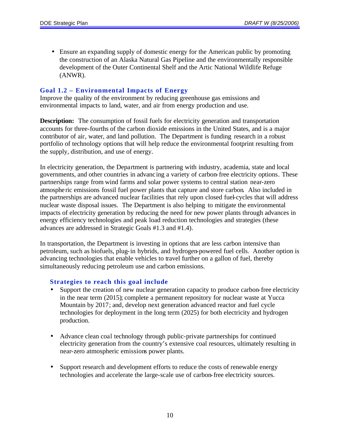• Ensure an expanding supply of domestic energy for the American public by promoting the construction of an Alaska Natural Gas Pipeline and the environmentally responsible development of the Outer Continental Shelf and the Artic National Wildlife Refuge (ANWR).

#### **Goal 1.2 – Environmental Impacts of Energy**

Improve the quality of the environment by reducing greenhouse gas emissions and environmental impacts to land, water, and air from energy production and use.

**Description:** The consumption of fossil fuels for electricity generation and transportation accounts for three-fourths of the carbon dioxide emissions in the United States, and is a major contributor of air, water, and land pollution. The Department is funding research in a robust portfolio of technology options that will help reduce the environmental footprint resulting from the supply, distribution, and use of energy.

In electricity generation, the Department is partnering with industry, academia, state and local governments, and other countries in advanc ing a variety of carbon-free electricity options. These partnerships range from wind farms and solar power systems to central station near-zero atmospheric emissions fossil fuel power plants that capture and store carbon. Also included in the partnerships are advanced nuclear facilities that rely upon closed fuel-cycles that will address nuclear waste disposal issues. The Department is also helping to mitigate the environmental impacts of electricity generation by reducing the need for new power plants through advances in energy efficiency technologies and peak load reduction technologies and strategies (these advances are addressed in Strategic Goals #1.3 and #1.4).

In transportation, the Department is investing in options that are less carbon intensive than petroleum, such as biofuels, plug-in hybrids, and hydrogen-powered fuel cells. Another option is advancing technologies that enable vehicles to travel further on a gallon of fuel, thereby simultaneously reducing petroleum use and carbon emissions.

- Support the creation of new nuclear generation capacity to produce carbon-free electricity in the near term (2015); complete a permanent repository for nuclear waste at Yucca Mountain by 2017; and, develop next generation advanced reactor and fuel cycle technologies for deployment in the long term (2025) for both electricity and hydrogen production.
- Advance clean coal technology through public-private partnerships for continued electricity generation from the country's extensive coal resources, ultimately resulting in near-zero atmospheric emissions power plants.
- Support research and development efforts to reduce the costs of renewable energy technologies and accelerate the large-scale use of carbon-free electricity sources.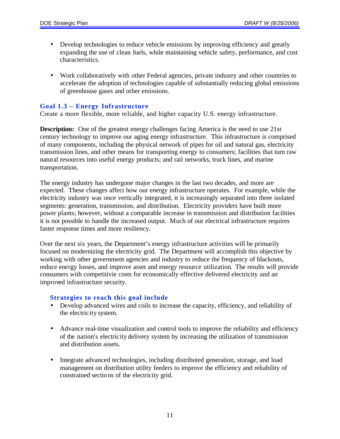- Develop technologies to reduce vehicle emissions by improving efficiency and greatly expanding the use of clean fuels, while maintaining vehicle safety, performance, and cost characteristics.
- Work collaboratively with other Federal agencies, private industry and other countries to accelerate the adoption of technologies capable of substantially reducing global emissions of greenhouse gases and other emissions.

#### **Goal 1.3 – Energy Infrastructure**

Create a more flexible, more reliable, and higher capacity U.S. energy infrastructure.

**Description:** One of the greatest energy challenges facing America is the need to use 21st century technology to improve our aging energy infrastructure. This infrastructure is comprised of many components, including the physical network of pipes for oil and natural gas, electricity transmission lines, and other means for transporting energy to consumers; facilities that turn raw natural resources into useful energy products; and rail networks, truck lines, and marine transportation.

The energy industry has undergone major changes in the last two decades, and more are expected. These changes affect how our energy infrastructure operates. For example, while the electricity industry was once vertically integrated, it is increasingly separated into three isolated segments: generation, transmission, and distribution. Electricity providers have built more power plants; however, without a comparable increase in transmission and distribution facilities it is not possible to handle the increased output. Much of our electrical infrastructure requires faster response times and more resiliency.

Over the next six years, the Department's energy infrastructure activities will be primarily focused on modernizing the electricity grid. The Department will accomplish this objective by working with other government agencies and industry to reduce the frequency of blackouts, reduce energy losses, and improve asset and energy resource utilization. The results will provide consumers with competitivie costs for economically effective delivered electricity and an improved infrastructure security.

- Develop advanced wires and coils to increase the capacity, efficiency, and reliability of the electricity system.
- Advance real-time visualization and control tools to improve the reliability and efficiency of the nation's electricity delivery system by increasing the utilization of transmission and distribution assets.
- Integrate advanced technologies, including distributed generation, storage, and load management on distribution utility feeders to improve the efficiency and reliability of constrained sections of the electricity grid.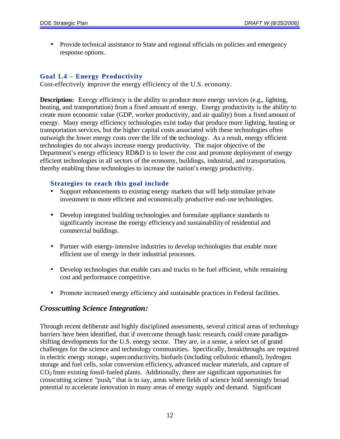• Provide technical assistance to State and regional officials on policies and emergency response options.

## **Goal 1.4 – Energy Productivity**

Cost-effectively improve the energy efficiency of the U.S. economy.

**Description:** Energy efficiency is the ability to produce more energy services (e.g., lighting, heating, and transportation) from a fixed amount of energy. Energy productivity is the ability to create more economic value (GDP, worker productivity, and air quality) from a fixed amount of energy. Many energy efficiency technologies exist today that produce more lighting, heating or transportation services, but the higher capital costs associated with these technologies often outweigh the lower energy costs over the life of the technology. As a result, energy efficient technologies do not always increase energy productivity. The major objective of the Department's energy efficiency RD&D is to lower the cost and promote deployment of energy efficient technologies in all sectors of the economy, buildings, industrial, and transportation, thereby enabling these technologies to increase the nation's energy productivity.

#### **Strategies to reach this goal include**

- Support enhancements to existing energy markets that will help stimulate private investment in more efficient and economically productive end-use technologies.
- Develop integrated building technologies and formulate appliance standards to significantly increase the energy efficiency and sustainability of residential and commercial buildings.
- Partner with energy-intensive industries to develop technologies that enable more efficient use of energy in their industrial processes.
- Develop technologies that enable cars and trucks to be fuel efficient, while remaining cost and performance competitive.
- Promote increased energy efficiency and sustainable practices in Federal facilities.

## *Crosscutting Science Integration:*

Through recent deliberate and highly disciplined assessments, several critical areas of technology barriers have been identified, that if overcome through basic research, could create paradigmshifting developments for the U.S. energy sector. They are, in a sense, a select set of grand challenges for the science and technology communities. Specifically, breakthroughs are required in electric energy storage, superconductivity, biofuels (including cellulosic ethanol), hydrogen storage and fuel cells, solar conversion efficiency, advanced nuclear materials, and capture of  $CO<sub>2</sub>$  from existing fossil-fueled plants. Additionally, there are significant opportunities for crosscutting science "push," that is to say, areas where fields of science hold seemingly broad potential to accelerate innovation in many areas of energy supply and demand. Significant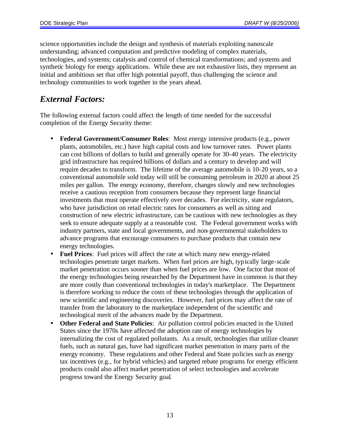science opportunities include the design and synthesis of materials exploiting nanoscale understanding; advanced computation and predictive modeling of complex materials, technologies, and systems; catalysis and control of chemical transformations; and systems and synthetic biology for energy applications. While these are not exhaustive lists, they represent an initial and ambitious set that offer high potential payoff, thus challenging the science and technology communities to work together in the years ahead.

## *External Factors:*

The following external factors could affect the length of time needed for the successful completion of the Energy Security theme:

- **Federal Government/Consumer Roles**: Most energy intensive products (e.g., power plants, automobiles, etc.) have high capital costs and low turnover rates. Power plants can cost billions of dollars to build and generally operate for 30-40 years. The electricity grid infrastructure has required billions of dollars and a century to develop and will require decades to transform. The lifetime of the average automobile is 10-20 years, so a conventional automobile sold today will still be consuming petroleum in 2020 at about 25 miles per gallon. The energy economy, therefore, changes slowly and new technologies receive a cautious reception from consumers because they represent large financial investments that must operate effectively over decades. For electricity, state regulators, who have jurisdiction on retail electric rates for consumers as well as siting and construction of new electric infrastructure, can be cautious with new technologies as they seek to ensure adequate supply at a reasonable cost. The Federal government works with industry partners, state and local governments, and non-governmental stakeholders to advance programs that encourage consumers to purchase products that contain new energy technologies.
- **Fuel Prices**: Fuel prices will affect the rate at which many new energy-related technologies penetrate target markets. When fuel prices are high, typically large-scale market penetration occurs sooner than when fuel prices are low. One factor that most of the energy technologies being researched by the Department have in common is that they are more costly than conventional technologies in today's marketplace. The Department is therefore working to reduce the costs of these technologies through the application of new scientific and engineering discoveries. However, fuel prices may affect the rate of transfer from the laboratory to the marketplace independent of the scientific and technological merit of the advances made by the Department.
- **Other Federal and State Policies**: Air pollution control policies enacted in the United States since the 1970s have affected the adoption rate of energy technologies by internalizing the cost of regulated pollutants. As a result, technologies that utilize cleaner fuels, such as natural gas, have had significant market penetration in many parts of the energy economy. These regulations and other Federal and State policies such as energy tax incentives (e.g., for hybrid vehicles) and targeted rebate programs for energy efficient products could also affect market penetration of select technologies and accelerate progress toward the Energy Security goal.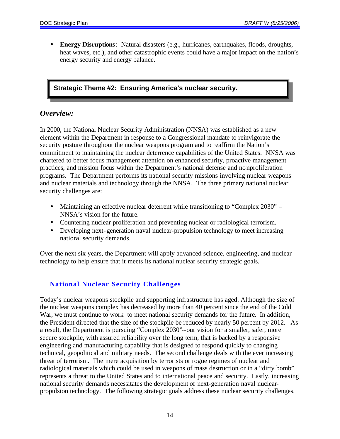• **Energy Disruptions**: Natural disasters (e.g., hurricanes, earthquakes, floods, droughts, heat waves, etc.), and other catastrophic events could have a major impact on the nation's energy security and energy balance.

## **Strategic Theme #2: Ensuring America's nuclear security.**

## *Overview:*

In 2000, the National Nuclear Security Administration (NNSA) was established as a new element within the Department in response to a Congressional mandate to reinvigorate the security posture throughout the nuclear weapons program and to reaffirm the Nation's commitment to maintaining the nuclear deterrence capabilities of the United States. NNSA was chartered to better focus management attention on enhanced security, proactive management practices, and mission focus within the Department's national defense and nonproliferation programs. The Department performs its national security missions involving nuclear weapons and nuclear materials and technology through the NNSA. The three primary national nuclear security challenges are:

- Maintaining an effective nuclear deterrent while transitioning to "Complex 2030" NNSA's vision for the future.
- Countering nuclear proliferation and preventing nuclear or radiological terrorism.
- Developing next-generation naval nuclear-propulsion technology to meet increasing national security demands.

Over the next six years, the Department will apply advanced science, engineering, and nuclear technology to help ensure that it meets its national nuclear security strategic goals.

## **National Nuclear Security Challenges**

Today's nuclear weapons stockpile and supporting infrastructure has aged. Although the size of the nuclear weapons complex has decreased by more than 40 percent since the end of the Cold War, we must continue to work to meet national security demands for the future. In addition, the President directed that the size of the stockpile be reduced by nearly 50 percent by 2012. As a result, the Department is pursuing "Complex 2030"--our vision for a smaller, safer, more secure stockpile, with assured reliability over the long term, that is backed by a responsive engineering and manufacturing capability that is designed to respond quickly to changing technical, geopolitical and military needs. The second challenge deals with the ever increasing threat of terrorism. The mere acquisition by terrorists or rogue regimes of nuclear and radiological materials which could be used in weapons of mass destruction or in a "dirty bomb" represents a threat to the United States and to international peace and security. Lastly, increasing national security demands necessitates the development of next-generation naval nuclearpropulsion technology. The following strategic goals address these nuclear security challenges.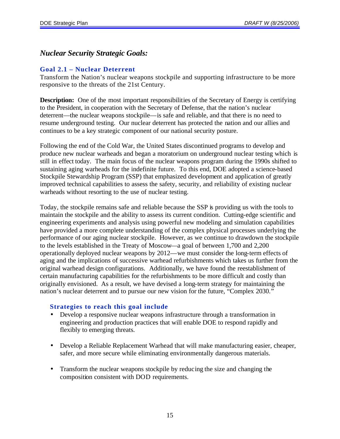## *Nuclear Security Strategic Goals:*

## **Goal 2.1 – Nuclear Deterrent**

Transform the Nation's nuclear weapons stockpile and supporting infrastructure to be more responsive to the threats of the 21st Century.

**Description:** One of the most important responsibilities of the Secretary of Energy is certifying to the President, in cooperation with the Secretary of Defense, that the nation's nuclear deterrent—the nuclear weapons stockpile—is safe and reliable, and that there is no need to resume underground testing. Our nuclear deterrent has protected the nation and our allies and continues to be a key strategic component of our national security posture.

Following the end of the Cold War, the United States discontinued programs to develop and produce new nuclear warheads and began a moratorium on underground nuclear testing which is still in effect today. The main focus of the nuclear weapons program during the 1990s shifted to sustaining aging warheads for the indefinite future. To this end, DOE adopted a science-based Stockpile Stewardship Program (SSP) that emphasized development and application of greatly improved technical capabilities to assess the safety, security, and reliability of existing nuclear warheads without resorting to the use of nuclear testing.

Today, the stockpile remains safe and reliable because the SSP is providing us with the tools to maintain the stockpile and the ability to assess its current condition. Cutting-edge scientific and engineering experiments and analysis using powerful new modeling and simulation capabilities have provided a more complete understanding of the complex physical processes underlying the performance of our aging nuclear stockpile. However, as we continue to drawdown the stockpile to the levels established in the Treaty of Moscow—a goal of between 1,700 and 2,200 operationally deployed nuclear weapons by 2012—we must consider the long-term effects of aging and the implications of successive warhead refurbishments which takes us further from the original warhead design configurations. Additionally, we have found the reestablishment of certain manufacturing capabilities for the refurbishments to be more difficult and costly than originally envisioned. As a result, we have devised a long-term strategy for maintaining the nation's nuclear deterrent and to pursue our new vision for the future, "Complex 2030."

- Develop a responsive nuclear weapons infrastructure through a transformation in engineering and production practices that will enable DOE to respond rapidly and flexibly to emerging threats.
- Develop a Reliable Replacement Warhead that will make manufacturing easier, cheaper, safer, and more secure while eliminating environmentally dangerous materials.
- Transform the nuclear weapons stockpile by reducing the size and changing the composition consistent with DOD requirements.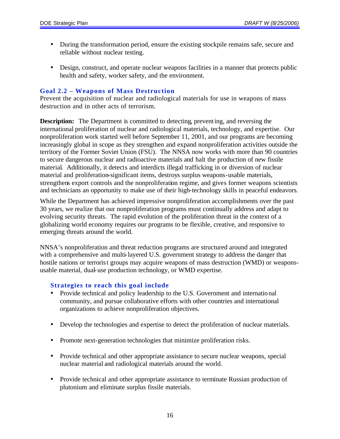- During the transformation period, ensure the existing stockpile remains safe, secure and reliable without nuclear testing.
- Design, construct, and operate nuclear weapons facilities in a manner that protects public health and safety, worker safety, and the environment.

#### **Goal 2.2 – Weapons of Mass Destruction**

Prevent the acquisition of nuclear and radiological materials for use in weapons of mass destruction and in other acts of terrorism.

**Description:** The Department is committed to detecting, preventing, and reversing the international proliferation of nuclear and radiological materials, technology, and expertise. Our nonproliferation work started well before September 11, 2001, and our programs are becoming increasingly global in scope as they strengthen and expand nonproliferation activities outside the territory of the Former Soviet Union (FSU). The NNSA now works with more than 90 countries to secure dangerous nuclear and radioactive materials and halt the production of new fissile material. Additionally, it detects and interdicts illegal trafficking in or diversion of nuclear material and proliferation-significant items, destroys surplus weapons-usable materials, strengthens export controls and the nonproliferation regime, and gives former weapons scientists and technicians an opportunity to make use of their high-technology skills in peaceful endeavors.

While the Department has achieved impressive nonproliferation accomplishments over the past 30 years, we realize that our nonproliferation programs must continually address and adapt to evolving security threats. The rapid evolution of the proliferation threat in the context of a globalizing world economy requires our programs to be flexible, creative, and responsive to emerging threats around the world.

NNSA's nonproliferation and threat reduction programs are structured around and integrated with a comprehensive and multi-layered U.S. government strategy to address the danger that hostile nations or terrorist groups may acquire weapons of mass destruction (WMD) or weaponsusable material, dual-use production technology, or WMD expertise.

- Provide technical and policy leadership to the U.S. Government and international community, and pursue collaborative efforts with other countries and international organizations to achieve nonproliferation objectives.
- Develop the technologies and expertise to detect the proliferation of nuclear materials.
- Promote next-generation technologies that minimize proliferation risks.
- Provide technical and other appropriate assistance to secure nuclear weapons, special nuclear material and radiological materials around the world.
- Provide technical and other appropriate assistance to terminate Russian production of plutonium and eliminate surplus fissile materials.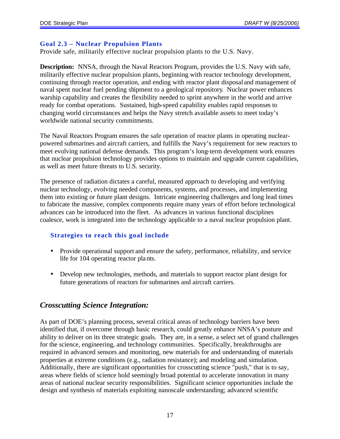#### **Goal 2.3 – Nuclear Propulsion Plants**

Provide safe, militarily effective nuclear propulsion plants to the U.S. Navy.

**Description:** NNSA, through the Naval Reactors Program, provides the U.S. Navy with safe, militarily effective nuclear propulsion plants, beginning with reactor technology development, continuing through reactor operation, and ending with reactor plant disposal and management of naval spent nuclear fuel pending shipment to a geological repository. Nuclear power enhances warship capability and creates the flexibility needed to sprint anywhere in the world and arrive ready for combat operations. Sustained, high-speed capability enables rapid responses to changing world circumstances and helps the Navy stretch available assets to meet today's worldwide national security commitments.

The Naval Reactors Program ensures the safe operation of reactor plants in operating nuclearpowered submarines and aircraft carriers, and fulfills the Navy's requirement for new reactors to meet evolving national defense demands. This program's long-term development work ensures that nuclear propulsion technology provides options to maintain and upgrade current capabilities, as well as meet future threats to U.S. security.

The presence of radiation dictates a careful, measured approach to developing and verifying nuclear technology, evolving needed components, systems, and processes, and implementing them into existing or future plant designs. Intricate engineering challenges and long lead times to fabricate the massive, complex components require many years of effort before technological advances can be introduced into the fleet. As advances in various functional disciplines coalesce, work is integrated into the technology applicable to a naval nuclear propulsion plant.

## **Strategies to reach this goal include**

- Provide operational support and ensure the safety, performance, reliability, and service life for 104 operating reactor plants.
- Develop new technologies, methods, and materials to support reactor plant design for future generations of reactors for submarines and aircraft carriers.

## *Crosscutting Science Integration:*

As part of DOE's planning process, several critical areas of technology barriers have been identified that, if overcome through basic research, could greatly enhance NNSA's posture and ability to deliver on its three strategic goals. They are, in a sense, a select set of grand challenges for the science, engineering, and technology communities. Specifically, breakthroughs are required in advanced sensors and monitoring, new materials for and understanding of materials properties at extreme conditions (e.g., radiation resistance); and modeling and simulation. Additionally, there are significant opportunities for crosscutting science "push," that is to say, areas where fields of science hold seemingly broad potential to accelerate innovation in many areas of national nuclear security responsibilities. Significant science opportunities include the design and synthesis of materials exploiting nanoscale understanding; advanced scientific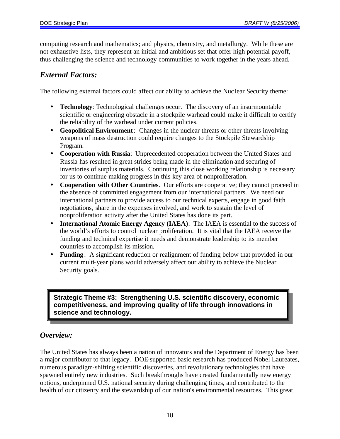computing research and mathematics; and physics, chemistry, and metallurgy. While these are not exhaustive lists, they represent an initial and ambitious set that offer high potential payoff, thus challenging the science and technology communities to work together in the years ahead.

## *External Factors:*

The following external factors could affect our ability to achieve the Nuc lear Security theme:

- **Technology**: Technological challenges occur. The discovery of an insurmountable scientific or engineering obstacle in a stockpile warhead could make it difficult to certify the reliability of the warhead under current policies.
- **Geopolitical Environment**: Changes in the nuclear threats or other threats involving weapons of mass destruction could require changes to the Stockpile Stewardship Program.
- **Cooperation with Russia**: Unprecedented cooperation between the United States and Russia has resulted in great strides being made in the elimination and securing of inventories of surplus materials. Continuing this close working relationship is necessary for us to continue making progress in this key area of nonproliferation.
- **Cooperation with Other Countries**. Our efforts are cooperative; they cannot proceed in the absence of committed engagement from our international partners. We need our international partners to provide access to our technical experts, engage in good faith negotiations, share in the expenses involved, and work to sustain the level of nonproliferation activity after the United States has done its part.
- **International Atomic Energy Agency (IAEA)**: The IAEA is essential to the success of the world's efforts to control nuclear proliferation. It is vital that the IAEA receive the funding and technical expertise it needs and demonstrate leadership to its member countries to accomplish its mission.
- **Funding**: A significant reduction or realignment of funding below that provided in our current multi-year plans would adversely affect our ability to achieve the Nuclear Security goals.

**Strategic Theme #3: Strengthening U.S. scientific discovery, economic competitiveness, and improving quality of life through innovations in science and technology.**

## *Overview:*

The United States has always been a nation of innovators and the Department of Energy has been a major contributor to that legacy. DOE-supported basic research has produced Nobel Laureates, numerous paradigm-shifting scientific discoveries, and revolutionary technologies that have spawned entirely new industries. Such breakthroughs have created fundamentally new energy options, underpinned U.S. national security during challenging times, and contributed to the health of our citizenry and the stewardship of our nation's environmental resources. This great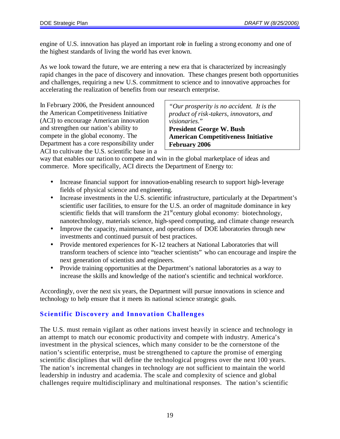engine of U.S. innovation has played an important role in fueling a strong economy and one of the highest standards of living the world has ever known.

As we look toward the future, we are entering a new era that is characterized by increasingly rapid changes in the pace of discovery and innovation. These changes present both opportunities and challenges, requiring a new U.S. commitment to science and to innovative approaches for accelerating the realization of benefits from our research enterprise.

In February 2006, the President announced the American Competitiveness Initiative (ACI) to encourage American innovation and strengthen our nation's ability to compete in the global economy. The Department has a core responsibility under ACI to cultivate the U.S. scientific base in a

*"Our prosperity is no accident. It is the product of risk-takers, innovators, and visionaries*." **President George W. Bush American Competitiveness Initiative February 2006**

way that enables our nation to compete and win in the global marketplace of ideas and commerce. More specifically, ACI directs the Department of Energy to:

- Increase financial support for innovation-enabling research to support high-leverage fields of physical science and engineering.
- Increase investments in the U.S. scientific infrastructure, particularly at the Department's scientific user facilities, to ensure for the U.S. an order of magnitude dominance in key scientific fields that will transform the  $21<sup>st</sup>$  century global economy: biotechnology, nanotechnology, materials science, high-speed computing, and climate change research.
- Improve the capacity, maintenance, and operations of DOE laboratories through new investments and continued pursuit of best practices.
- Provide mentored experiences for K-12 teachers at National Laboratories that will transform teachers of science into "teacher scientists" who can encourage and inspire the next generation of scientists and engineers.
- Provide training opportunities at the Department's national laboratories as a way to increase the skills and knowledge of the nation's scientific and technical workforce.

Accordingly, over the next six years, the Department will pursue innovations in science and technology to help ensure that it meets its national science strategic goals.

## **Scientific Discovery and Innovation Challenges**

The U.S. must remain vigilant as other nations invest heavily in science and technology in an attempt to match our economic productivity and compete with industry. America's investment in the physical sciences, which many consider to be the cornerstone of the nation's scientific enterprise, must be strengthened to capture the promise of emerging scientific disciplines that will define the technological progress over the next 100 years. The nation's incremental changes in technology are not sufficient to maintain the world leadership in industry and academia. The scale and complexity of science and global challenges require multidisciplinary and multinational responses. The nation's scientific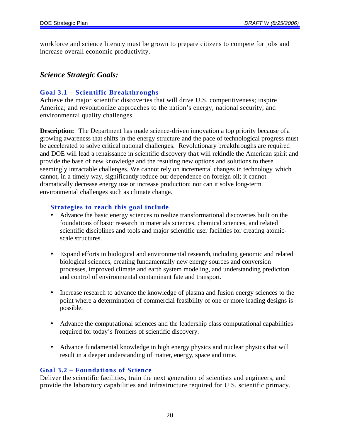workforce and science literacy must be grown to prepare citizens to compete for jobs and increase overall economic productivity.

## *Science Strategic Goals:*

#### **Goal 3.1 – Scientific Breakthroughs**

Achieve the major scientific discoveries that will drive U.S. competitiveness; inspire America; and revolutionize approaches to the nation's energy, national security, and environmental quality challenges.

**Description:** The Department has made science-driven innovation a top priority because of a growing awareness that shifts in the energy structure and the pace of technological progress must be accelerated to solve critical national challenges. Revolutionary breakthroughs are required and DOE will lead a renaissance in scientific discovery that will rekindle the American spirit and provide the base of new knowledge and the resulting new options and solutions to these seemingly intractable challenges. We cannot rely on incremental changes in technology which cannot, in a timely way, significantly reduce our dependence on foreign oil; it cannot dramatically decrease energy use or increase production; nor can it solve long-term environmental challenges such as climate change.

#### **Strategies to reach this goal include**

- Advance the basic energy sciences to realize transformational discoveries built on the foundations of basic research in materials sciences, chemical sciences, and related scientific disciplines and tools and major scientific user facilities for creating atomicscale structures.
- Expand efforts in biological and environmental research, including genomic and related biological sciences, creating fundamentally new energy sources and conversion processes, improved climate and earth system modeling, and understanding prediction and control of environmental contaminant fate and transport.
- Increase research to advance the knowledge of plasma and fusion energy sciences to the point where a determination of commercial feasibility of one or more leading designs is possible.
- Advance the computational sciences and the leadership class computational capabilities required for today's frontiers of scientific discovery.
- Advance fundamental knowledge in high energy physics and nuclear physics that will result in a deeper understanding of matter, energy, space and time.

## **Goal 3.2 – Foundations of Science**

Deliver the scientific facilities, train the next generation of scientists and engineers, and provide the laboratory capabilities and infrastructure required for U.S. scientific primacy.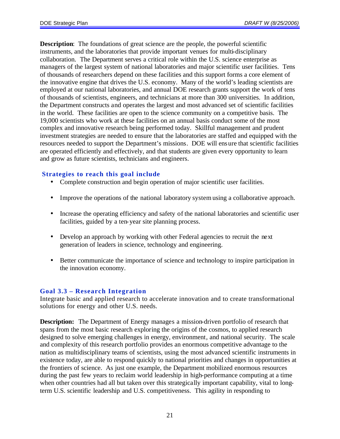**Description**: The foundations of great science are the people, the powerful scientific instruments, and the laboratories that provide important venues for multi-disciplinary collaboration. The Department serves a critical role within the U.S. science enterprise as managers of the largest system of national laboratories and major scientific user facilities. Tens of thousands of researchers depend on these facilities and this support forms a core element of the innovative engine that drives the U.S. economy. Many of the world's leading scientists are employed at our national laboratories, and annual DOE research grants support the work of tens of thousands of scientists, engineers, and technicians at more than 300 universities. In addition, the Department constructs and operates the largest and most advanced set of scientific facilities in the world. These facilities are open to the science community on a competitive basis. The 19,000 scientists who work at these facilities on an annual basis conduct some of the most complex and innovative research being performed today. Skillful management and prudent investment strategies are needed to ensure that the laboratories are staffed and equipped with the resources needed to support the Department's missions. DOE will ensure that scientific facilities are operated efficiently and effectively, and that students are given every opportunity to learn and grow as future scientists, technicians and engineers.

#### **Strategies to reach this goal include**

- Complete construction and begin operation of major scientific user facilities.
- Improve the operations of the national laboratory system using a collaborative approach.
- Increase the operating efficiency and safety of the national laboratories and scientific user facilities, guided by a ten-year site planning process.
- Develop an approach by working with other Federal agencies to recruit the next generation of leaders in science, technology and engineering.
- Better communicate the importance of science and technology to inspire participation in the innovation economy.

## **Goal 3.3 – Research Integration**

Integrate basic and applied research to accelerate innovation and to create transformational solutions for energy and other U.S. needs.

**Description:** The Department of Energy manages a mission-driven portfolio of research that spans from the most basic research exploring the origins of the cosmos, to applied research designed to solve emerging challenges in energy, environment, and national security. The scale and complexity of this research portfolio provides an enormous competitive advantage to the nation as multidisciplinary teams of scientists, using the most advanced scientific instruments in existence today, are able to respond quickly to national priorities and changes in opportunities at the frontiers of science. As just one example, the Department mobilized enormous resources during the past few years to reclaim world leadership in high-performance computing at a time when other countries had all but taken over this strategically important capability, vital to longterm U.S. scientific leadership and U.S. competitiveness. This agility in responding to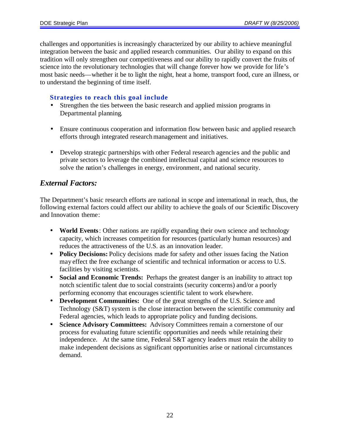challenges and opportunities is increasingly characterized by our ability to achieve meaningful integration between the basic and applied research communities. Our ability to expand on this tradition will only strengthen our competitiveness and our ability to rapidly convert the fruits of science into the revolutionary technologies that will change forever how we provide for life's most basic needs—whether it be to light the night, heat a home, transport food, cure an illness, or to understand the beginning of time itself.

## **Strategies to reach this goal include**

- Strengthen the ties between the basic research and applied mission programs in Departmental planning.
- Ensure continuous cooperation and information flow between basic and applied research efforts through integrated research management and initiatives.
- Develop strategic partnerships with other Federal research agencies and the public and private sectors to leverage the combined intellectual capital and science resources to solve the nation's challenges in energy, environment, and national security.

## *External Factors:*

The Department's basic research efforts are national in scope and international in reach, thus, the following external factors could affect our ability to achieve the goals of our Scientific Discovery and Innovation theme:

- **World Events**: Other nations are rapidly expanding their own science and technology capacity, which increases competition for resources (particularly human resources) and reduces the attractiveness of the U.S. as an innovation leader.
- **Policy Decisions:** Policy decisions made for safety and other issues facing the Nation may effect the free exchange of scientific and technical information or access to U.S. facilities by visiting scientists.
- **Social and Economic Trends:** Perhaps the greatest danger is an inability to attract top notch scientific talent due to social constraints (security concerns) and/or a poorly performing economy that encourages scientific talent to work elsewhere.
- **Development Communities:** One of the great strengths of the U.S. Science and Technology (S&T) system is the close interaction between the scientific community and Federal agencies, which leads to appropriate policy and funding decisions.
- **Science Advisory Committees:** Advisory Committees remain a cornerstone of our process for evaluating future scientific opportunities and needs while retaining their independence. At the same time, Federal S&T agency leaders must retain the ability to make independent decisions as significant opportunities arise or national circumstances demand.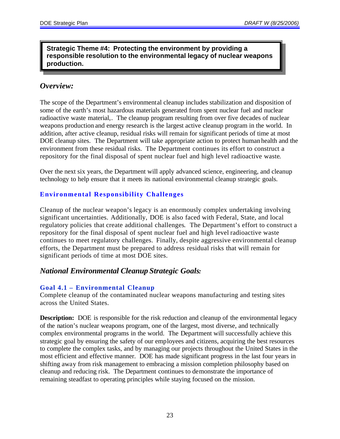## **Strategic Theme #4: Protecting the environment by providing a responsible resolution to the environmental legacy of nuclear weapons production.**

## *Overview:*

The scope of the Department's environmental cleanup includes stabilization and disposition of some of the earth's most hazardous materials generated from spent nuclear fuel and nuclear radioactive waste material,. The cleanup program resulting from over five decades of nuclear weapons production and energy research is the largest active cleanup program in the world. In addition, after active cleanup, residual risks will remain for significant periods of time at most DOE cleanup sites. The Department will take appropriate action to protect human health and the environment from these residual risks. The Department continues its effort to construct a repository for the final disposal of spent nuclear fuel and high level radioactive waste.

Over the next six years, the Department will apply advanced science, engineering, and cleanup technology to help ensure that it meets its national environmental cleanup strategic goals.

## **Environmental Responsibility Challenges**

Cleanup of the nuclear weapon's legacy is an enormously complex undertaking involving significant uncertainties. Additionally, DOE is also faced with Federal, State, and local regulatory policies that create additional challenges. The Department's effort to construct a repository for the final disposal of spent nuclear fuel and high level radioactive waste continues to meet regulatory challenges. Finally, despite aggressive environmental cleanup efforts, the Department must be prepared to address residual risks that will remain for significant periods of time at most DOE sites.

## *National Environmental Cleanup Strategic Goals:*

## **Goal 4.1 – Environmental Cleanup**

Complete cleanup of the contaminated nuclear weapons manufacturing and testing sites across the United States.

**Description:** DOE is responsible for the risk reduction and cleanup of the environmental legacy of the nation's nuclear weapons program, one of the largest, most diverse, and technically complex environmental programs in the world. The Department will successfully achieve this strategic goal by ensuring the safety of our employees and citizens, acquiring the best resources to complete the complex tasks, and by managing our projects throughout the United States in the most efficient and effective manner. DOE has made significant progress in the last four years in shifting away from risk management to embracing a mission completion philosophy based on cleanup and reducing risk. The Department continues to demonstrate the importance of remaining steadfast to operating principles while staying focused on the mission.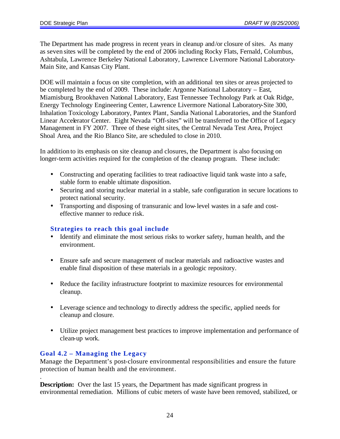The Department has made progress in recent years in cleanup and/or closure of sites. As many as seven sites will be completed by the end of 2006 including Rocky Flats, Fernald, Columbus, Ashtabula, Lawrence Berkeley National Laboratory, Lawrence Livermore National Laboratory-Main Site, and Kansas City Plant.

DOE will maintain a focus on site completion, with an additional ten sites or areas projected to be completed by the end of 2009. These include: Argonne National Laboratory – East, Miamisburg, Brookhaven National Laboratory, East Tennessee Technology Park at Oak Ridge, Energy Technology Engineering Center, Lawrence Livermore National Laboratory-Site 300, Inhalation Toxicology Laboratory, Pantex Plant, Sandia National Laboratories, and the Stanford Linear Accelerator Center. Eight Nevada "Off-sites" will be transferred to the Office of Legacy Management in FY 2007. Three of these eight sites, the Central Nevada Test Area, Project Shoal Area, and the Rio Blanco Site, are scheduled to close in 2010.

In addition to its emphasis on site cleanup and closures, the Department is also focusing on longer-term activities required for the completion of the cleanup program. These include:

- Constructing and operating facilities to treat radioactive liquid tank waste into a safe, stable form to enable ultimate disposition.
- Securing and storing nuclear material in a stable, safe configuration in secure locations to protect national security.
- Transporting and disposing of transuranic and low-level wastes in a safe and costeffective manner to reduce risk.

## **Strategies to reach this goal include**

- Identify and eliminate the most serious risks to worker safety, human health, and the environment.
- Ensure safe and secure management of nuclear materials and radioactive wastes and enable final disposition of these materials in a geologic repository.
- Reduce the facility infrastructure footprint to maximize resources for environmental cleanup.
- Leverage science and technology to directly address the specific, applied needs for cleanup and closure.
- Utilize project management best practices to improve implementation and performance of clean-up work.

## **Goal 4.2 – Managing the Legacy**

Manage the Department's post-closure environmental responsibilities and ensure the future protection of human health and the environment. .

**Description:** Over the last 15 years, the Department has made significant progress in environmental remediation. Millions of cubic meters of waste have been removed, stabilized, or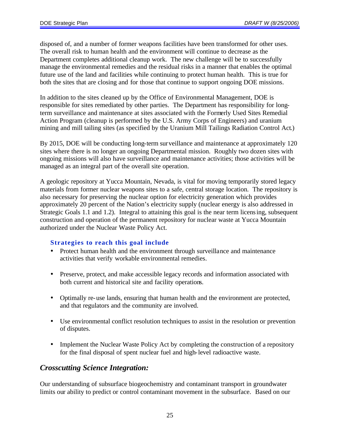disposed of, and a number of former weapons facilities have been transformed for other uses. The overall risk to human health and the environment will continue to decrease as the Department completes additional cleanup work. The new challenge will be to successfully manage the environmental remedies and the residual risks in a manner that enables the optimal future use of the land and facilities while continuing to protect human health. This is true for both the sites that are closing and for those that continue to support ongoing DOE missions.

In addition to the sites cleaned up by the Office of Environmental Management, DOE is responsible for sites remediated by other parties. The Department has responsibility for longterm surveillance and maintenance at sites associated with the Formerly Used Sites Remedial Action Program (cleanup is performed by the U.S. Army Corps of Engineers) and uranium mining and mill tailing sites (as specified by the Uranium Mill Tailings Radiation Control Act.)

By 2015, DOE will be conducting long-term surveillance and maintenance at approximately 120 sites where there is no longer an ongoing Departmental mission. Roughly two dozen sites with ongoing missions will also have surveillance and maintenance activities; those activities will be managed as an integral part of the overall site operation.

A geologic repository at Yucca Mountain, Nevada, is vital for moving temporarily stored legacy materials from former nuclear weapons sites to a safe, central storage location. The repository is also necessary for preserving the nuclear option for electricity generation which provides approximately 20 percent of the Nation's electricity supply (nuclear energy is also addressed in Strategic Goals 1.1 and 1.2). Integral to attaining this goal is the near term licensing, subsequent construction and operation of the permanent repository for nuclear waste at Yucca Mountain authorized under the Nuclear Waste Policy Act.

## **Strategies to reach this goal include**

- Protect human health and the environment through surveillance and maintenance activities that verify workable environmental remedies.
- Preserve, protect, and make accessible legacy records and information associated with both current and historical site and facility operations.
- Optimally re-use lands, ensuring that human health and the environment are protected, and that regulators and the community are involved.
- Use environmental conflict resolution techniques to assist in the resolution or prevention of disputes.
- Implement the Nuclear Waste Policy Act by completing the construction of a repository for the final disposal of spent nuclear fuel and high-level radioactive waste.

## *Crosscutting Science Integration:*

Our understanding of subsurface biogeochemistry and contaminant transport in groundwater limits our ability to predict or control contaminant movement in the subsurface. Based on our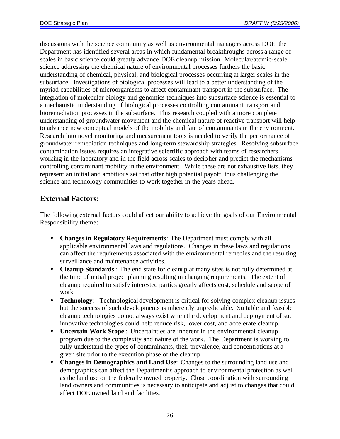discussions with the science community as well as environmental managers across DOE, the Department has identified several areas in which fundamental breakthroughs across a range of scales in basic science could greatly advance DOE cleanup mission. Molecular/atomic-scale science addressing the chemical nature of environmental processes furthers the basic understanding of chemical, physical, and biological processes occurring at larger scales in the subsurface. Investigations of biological processes will lead to a better understanding of the myriad capabilities of microorganisms to affect contaminant transport in the subsurface. The integration of molecular biology and genomics techniques into subsurface science is essential to a mechanistic understanding of biological processes controlling contaminant transport and bioremediation processes in the subsurface. This research coupled with a more complete understanding of groundwater movement and the chemical nature of reactive transport will help to advance new conceptual models of the mobility and fate of contaminants in the environment. Research into novel monitoring and measurement tools is needed to verify the performance of groundwater remediation techniques and long-term stewardship strategies. Resolving subsurface contamination issues requires an integrative scientific approach with teams of researchers working in the laboratory and in the field across scales to decipher and predict the mechanisms controlling contaminant mobility in the environment. While these are not exhaustive lists, they represent an initial and ambitious set that offer high potential payoff, thus challenging the science and technology communities to work together in the years ahead.

## **External Factors:**

The following external factors could affect our ability to achieve the goals of our Environmental Responsibility theme:

- **Changes in Regulatory Requirements**: The Department must comply with all applicable environmental laws and regulations. Changes in these laws and regulations can affect the requirements associated with the environmental remedies and the resulting surveillance and maintenance activities.
- **Cleanup Standards**: The end state for cleanup at many sites is not fully determined at the time of initial project planning resulting in changing requirements. The extent of cleanup required to satisfy interested parties greatly affects cost, schedule and scope of work.
- **Technology**: Technological development is critical for solving complex cleanup issues but the success of such developments is inherently unpredictable. Suitable and feasible cleanup technologies do not always exist when the development and deployment of such innovative technologies could help reduce risk, lower cost, and accelerate cleanup.
- **Uncertain Work Scope** : Uncertainties are inherent in the environmental cleanup program due to the complexity and nature of the work. The Department is working to fully understand the types of contaminants, their prevalence, and concentrations at a given site prior to the execution phase of the cleanup.
- **Changes in Demographics and Land Use**: Changes to the surrounding land use and demographics can affect the Department's approach to environmental protection as well as the land use on the federally owned property. Close coordination with surrounding land owners and communities is necessary to anticipate and adjust to changes that could affect DOE owned land and facilities.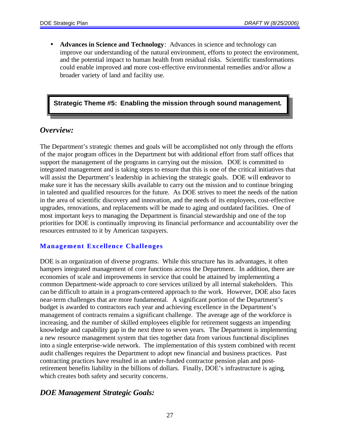• **Advances in Science and Technology**: Advances in science and technology can improve our understanding of the natural environment, efforts to protect the environment, and the potential impact to human health from residual risks. Scientific transformations could enable improved and more cost-effective environmental remedies and/or allow a broader variety of land and facility use.

## **Strategic Theme #5: Enabling the mission through sound management.**

## *Overview:*

The Department's strategic themes and goals will be accomplished not only through the efforts of the major program offices in the Department but with additional effort from staff offices that support the management of the programs in carrying out the mission. DOE is committed to integrated management and is taking steps to ensure that this is one of the critical initiatives that will assist the Department's leadership in achieving the strategic goals. DOE will endeavor to make sure it has the necessary skills available to carry out the mission and to continue bringing in talented and qualified resources for the future. As DOE strives to meet the needs of the nation in the area of scientific discovery and innovation, and the needs of its employees, cost-effective upgrades, renovations, and replacements will be made to aging and outdated facilities. One of most important keys to managing the Department is financial stewardship and one of the top priorities for DOE is continually improving its financial performance and accountability over the resources entrusted to it by American taxpayers.

## **Management Excellence Challenges**

DOE is an organization of diverse programs. While this structure has its advantages, it often hampers integrated management of core functions across the Department. In addition, there are economies of scale and improvements in service that could be attained by implementing a common Department-wide approach to core services utilized by all internal stakeholders. This can be difficult to attain in a program-centered approach to the work. However, DOE also faces near-term challenges that are more fundamental. A significant portion of the Department's budget is awarded to contractors each year and achieving excellence in the Department's management of contracts remains a significant challenge. The average age of the workforce is increasing, and the number of skilled employees eligible for retirement suggests an impending knowledge and capability gap in the next three to seven years. The Department is implementing a new resource management system that ties together data from various functional disciplines into a single enterprise-wide network. The implementation of this system combined with recent audit challenges requires the Department to adopt new financial and business practices. Past contracting practices have resulted in an under-funded contractor pension plan and postretirement benefits liability in the billions of dollars. Finally, DOE's infrastructure is aging, which creates both safety and security concerns.

## *DOE Management Strategic Goals:*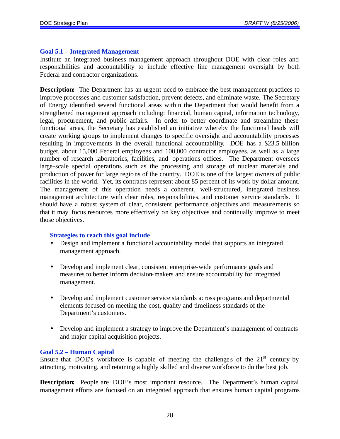#### **Goal 5.1 – Integrated Management**

Institute an integrated business management approach throughout DOE with clear roles and responsibilities and accountability to include effective line management oversight by both Federal and contractor organizations.

**Description:** The Department has an urgent need to embrace the best management practices to improve processes and customer satisfaction, prevent defects, and eliminate waste. The Secretary of Energy identified several functional areas within the Department that would benefit from a strengthened management approach including: financial, human capital, information technology, legal, procurement, and public affairs. In order to better coordinate and streamline these functional areas, the Secretary has established an initiative whereby the functional heads will create working groups to implement changes to specific oversight and accountability processes resulting in improvements in the overall functional accountability. DOE has a \$23.5 billion budget, about 15,000 Federal employees and 100,000 contractor employees, as well as a large number of research laboratories, facilities, and operations offices. The Department oversees large-scale special operations such as the processing and storage of nuclear materials and production of power for large regions of the country. DOE is one of the largest owners of public facilities in the world. Yet, its contracts represent about 85 percent of its work by dollar amount. The management of this operation needs a coherent, well-structured, integrated business management architecture with clear roles, responsibilities, and customer service standards. It should have a robust system of clear, consistent performance objectives and measurements so that it may focus resources more effectively on key objectives and continually improve to meet those objectives.

#### **Strategies to reach this goal include**

- Design and implement a functional accountability model that supports an integrated management approach.
- Develop and implement clear, consistent enterprise-wide performance goals and measures to better inform decision-makers and ensure accountability for integrated management.
- Develop and implement customer service standards across programs and departmental elements focused on meeting the cost, quality and timeliness standards of the Department's customers.
- Develop and implement a strategy to improve the Department's management of contracts and major capital acquisition projects.

#### **Goal 5.2 – Human Capital**

Ensure that DOE's workforce is capable of meeting the challenges of the  $21<sup>st</sup>$  century by attracting, motivating, and retaining a highly skilled and diverse workforce to do the best job.

**Description:** People are DOE's most important resource. The Department's human capital management efforts are focused on an integrated approach that ensures human capital programs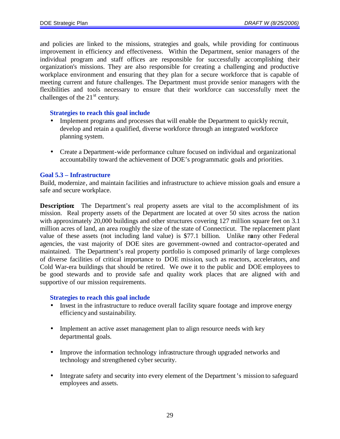and policies are linked to the missions, strategies and goals, while providing for continuous improvement in efficiency and effectiveness. Within the Department, senior managers of the individual program and staff offices are responsible for successfully accomplishing their organization's missions. They are also responsible for creating a challenging and productive workplace environment and ensuring that they plan for a secure workforce that is capable of meeting current and future challenges. The Department must provide senior managers with the flexibilities and tools necessary to ensure that their workforce can successfully meet the challenges of the  $21<sup>st</sup>$  century.

#### **Strategies to reach this goal include**

- Implement programs and processes that will enable the Department to quickly recruit, develop and retain a qualified, diverse workforce through an integrated workforce planning system.
- Create a Department-wide performance culture focused on individual and organizational accountability toward the achievement of DOE's programmatic goals and priorities.

#### **Goal 5.3 – Infrastructure**

Build, modernize, and maintain facilities and infrastructure to achieve mission goals and ensure a safe and secure workplace.

**Description:** The Department's real property assets are vital to the accomplishment of its mission. Real property assets of the Department are located at over 50 sites across the nation with approximately 20,000 buildings and other structures covering 127 million square feet on 3.1 million acres of land, an area roughly the size of the state of Connecticut. The replacement plant value of these assets (not including land value) is \$77.1 billion. Unlike many other Federal agencies, the vast majority of DOE sites are government-owned and contractor-operated and maintained. The Department's real property portfolio is composed primarily of large complexes of diverse facilities of critical importance to DOE mission, such as reactors, accelerators, and Cold War-era buildings that should be retired. We owe it to the public and DOE employees to be good stewards and to provide safe and quality work places that are aligned with and supportive of our mission requirements.

- Invest in the infrastructure to reduce overall facility square footage and improve energy efficiency and sustainability.
- Implement an active asset management plan to align resource needs with key departmental goals.
- Improve the information technology infrastructure through upgraded networks and technology and strengthened cyber security.
- Integrate safety and security into every element of the Department's mission to safeguard employees and assets.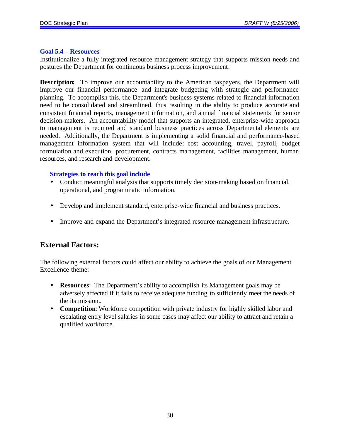#### **Goal 5.4 – Resources**

Institutionalize a fully integrated resource management strategy that supports mission needs and postures the Department for continuous business process improvement.

**Description:** To improve our accountability to the American taxpayers, the Department will improve our financial performance and integrate budgeting with strategic and performance planning. To accomplish this, the Department's business systems related to financial information need to be consolidated and streamlined, thus resulting in the ability to produce accurate and consistent financial reports, management information, and annual financial statements for senior decision-makers. An accountability model that supports an integrated, enterprise-wide approach to management is required and standard business practices across Departmental elements are needed. Additionally, the Department is implementing a solid financial and performance-based management information system that will include: cost accounting, travel, payroll, budget formulation and execution, procurement, contracts management, facilities management, human resources, and research and development.

#### **Strategies to reach this goal include**

- Conduct meaningful analysis that supports timely decision-making based on financial, operational, and programmatic information.
- Develop and implement standard, enterprise-wide financial and business practices.
- Improve and expand the Department's integrated resource management infrastructure.

## **External Factors:**

The following external factors could affect our ability to achieve the goals of our Management Excellence theme:

- **Resources**: The Department's ability to accomplish its Management goals may be adversely affected if it fails to receive adequate funding to sufficiently meet the needs of the its mission..
- **Competition**: Workforce competition with private industry for highly skilled labor and escalating entry level salaries in some cases may affect our ability to attract and retain a qualified workforce.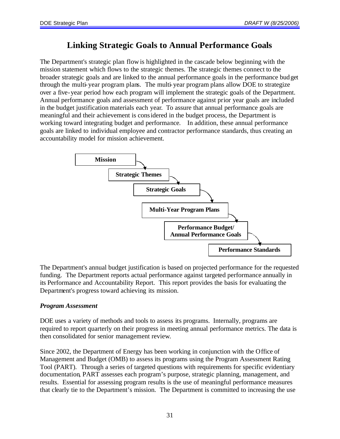## **Linking Strategic Goals to Annual Performance Goals**

The Department's strategic plan flow is highlighted in the cascade below beginning with the mission statement which flows to the strategic themes. The strategic themes connect to the broader strategic goals and are linked to the annual performance goals in the performance budget through the multi-year program plans. The multi-year program plans allow DOE to strategize over a five-year period how each program will implement the strategic goals of the Department. Annual performance goals and assessment of performance against prior year goals are included in the budget justification materials each year. To assure that annual performance goals are meaningful and their achievement is considered in the budget process, the Department is working toward integrating budget and performance. In addition, these annual performance goals are linked to individual employee and contractor performance standards, thus creating an accountability model for mission achievement.



The Department's annual budget justification is based on projected performance for the requested funding. The Department reports actual performance against targeted performance annually in its Performance and Accountability Report. This report provides the basis for evaluating the Department's progress toward achieving its mission.

## *Program Assessment*

DOE uses a variety of methods and tools to assess its programs. Internally, programs are required to report quarterly on their progress in meeting annual performance metrics. The data is then consolidated for senior management review.

Since 2002, the Department of Energy has been working in conjunction with the Office of Management and Budget (OMB) to assess its programs using the Program Assessment Rating Tool (PART). Through a series of targeted questions with requirements for specific evidentiary documentation, PART assesses each program's purpose, strategic planning, management, and results. Essential for assessing program results is the use of meaningful performance measures that clearly tie to the Department's mission. The Department is committed to increasing the use